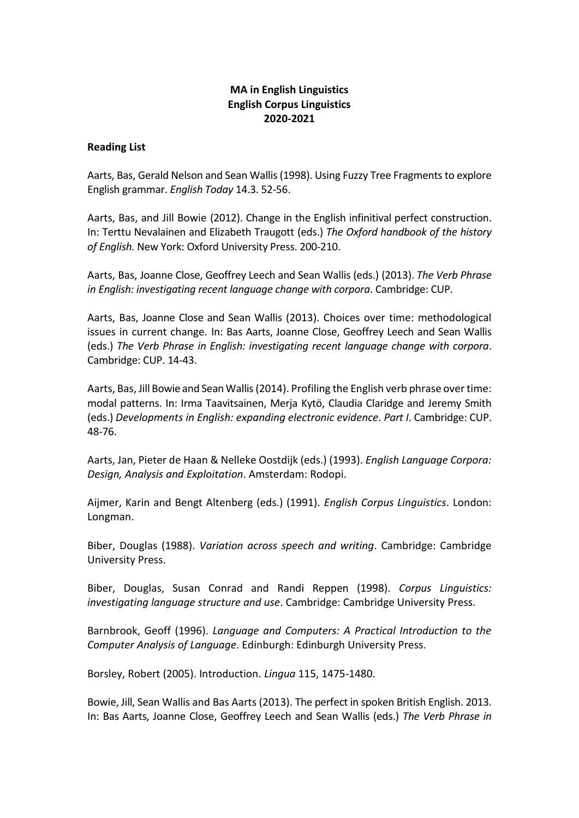## **MA in English Linguistics English Corpus Linguistics 2020-2021**

## **Reading List**

Aarts, Bas, Gerald Nelson and Sean Wallis (1998). Using Fuzzy Tree Fragments to explore English grammar. *English Today* 14.3. 52-56.

Aarts, Bas, and Jill Bowie (2012). Change in the English infinitival perfect construction. In: Terttu Nevalainen and Elizabeth Traugott (eds.) *The Oxford handbook of the history of English.* New York: Oxford University Press. 200-210.

Aarts, Bas, Joanne Close, Geoffrey Leech and Sean Wallis (eds.) (2013). *The Verb Phrase in English: investigating recent language change with corpora*. Cambridge: CUP.

Aarts, Bas, Joanne Close and Sean Wallis (2013). Choices over time: methodological issues in current change. In: Bas Aarts, Joanne Close, Geoffrey Leech and Sean Wallis (eds.) *The Verb Phrase in English: investigating recent language change with corpora*. Cambridge: CUP. 14-43.

Aarts, Bas, Jill Bowie and Sean Wallis(2014). Profiling the English verb phrase over time: modal patterns. In: Irma Taavitsainen, Merja Kytö, Claudia Claridge and Jeremy Smith (eds.) *Developments in English: expanding electronic evidence. Part I*. Cambridge: CUP. 48-76.

Aarts, Jan, Pieter de Haan & Nelleke Oostdijk (eds.) (1993). *English Language Corpora: Design, Analysis and Exploitation*. Amsterdam: Rodopi.

Aijmer, Karin and Bengt Altenberg (eds.) (1991). *English Corpus Linguistics*. London: Longman.

Biber, Douglas (1988). *Variation across speech and writing*. Cambridge: Cambridge University Press.

Biber, Douglas, Susan Conrad and Randi Reppen (1998). *Corpus Linguistics: investigating language structure and use*. Cambridge: Cambridge University Press.

Barnbrook, Geoff (1996). *Language and Computers: A Practical Introduction to the Computer Analysis of Language*. Edinburgh: Edinburgh University Press.

Borsley, Robert (2005). Introduction. *Lingua* 115, 1475-1480.

Bowie, Jill, Sean Wallis and Bas Aarts (2013). The perfect in spoken British English. 2013. In: Bas Aarts, Joanne Close, Geoffrey Leech and Sean Wallis (eds.) *The Verb Phrase in*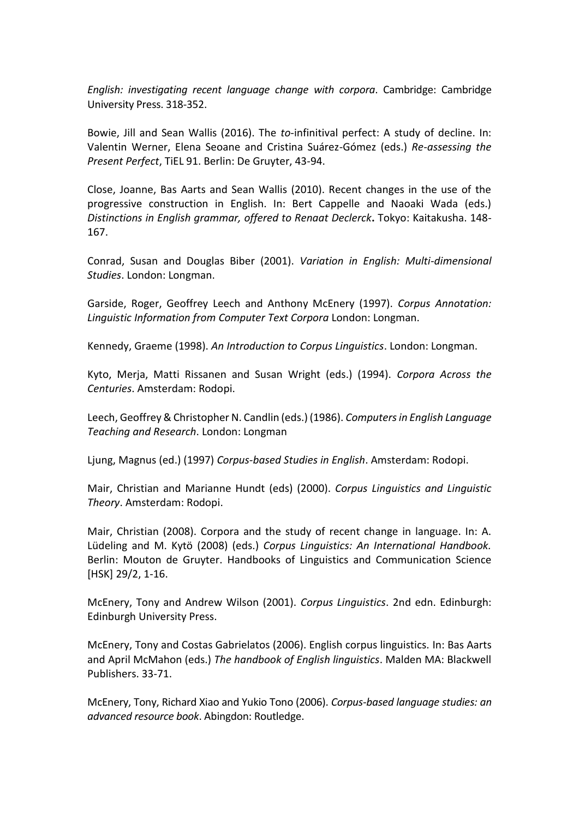*English: investigating recent language change with corpora*. Cambridge: Cambridge University Press. 318-352.

Bowie, Jill and Sean Wallis (2016). The *to-*infinitival perfect: A study of decline. In: Valentin Werner, Elena Seoane and Cristina Suárez-Gómez (eds.) *Re-assessing the Present Perfect*, TiEL 91. Berlin: De Gruyter, 43-94.

Close, Joanne, Bas Aarts and Sean Wallis (2010). Recent changes in the use of the progressive construction in English. In: Bert Cappelle and Naoaki Wada (eds.) *Distinctions in English grammar, offered to Renaat Declerck***.** Tokyo: Kaitakusha. 148- 167.

Conrad, Susan and Douglas Biber (2001). *Variation in English: Multi-dimensional Studies*. London: Longman.

Garside, Roger, Geoffrey Leech and Anthony McEnery (1997). *Corpus Annotation: Linguistic Information from Computer Text Corpora* London: Longman.

Kennedy, Graeme (1998). *An Introduction to Corpus Linguistics*. London: Longman.

Kyto, Merja, Matti Rissanen and Susan Wright (eds.) (1994). *Corpora Across the Centuries*. Amsterdam: Rodopi.

Leech, Geoffrey & Christopher N. Candlin (eds.) (1986). *Computersin English Language Teaching and Research*. London: Longman

Ljung, Magnus (ed.) (1997) *Corpus-based Studies in English*. Amsterdam: Rodopi.

Mair, Christian and Marianne Hundt (eds) (2000). *Corpus Linguistics and Linguistic Theory*. Amsterdam: Rodopi.

Mair, Christian (2008). Corpora and the study of recent change in language. In: A. Lüdeling and M. Kytö (2008) (eds.) *Corpus Linguistics: An International Handbook.* Berlin: Mouton de Gruyter. Handbooks of Linguistics and Communication Science [HSK] 29/2, 1-16.

McEnery, Tony and Andrew Wilson (2001). *Corpus Linguistics*. 2nd edn. Edinburgh: Edinburgh University Press.

McEnery, Tony and Costas Gabrielatos (2006). English corpus linguistics. In: Bas Aarts and April McMahon (eds.) *The handbook of English linguistics*. Malden MA: Blackwell Publishers. 33-71.

McEnery, Tony, Richard Xiao and Yukio Tono (2006). *Corpus-based language studies: an advanced resource book*. Abingdon: Routledge.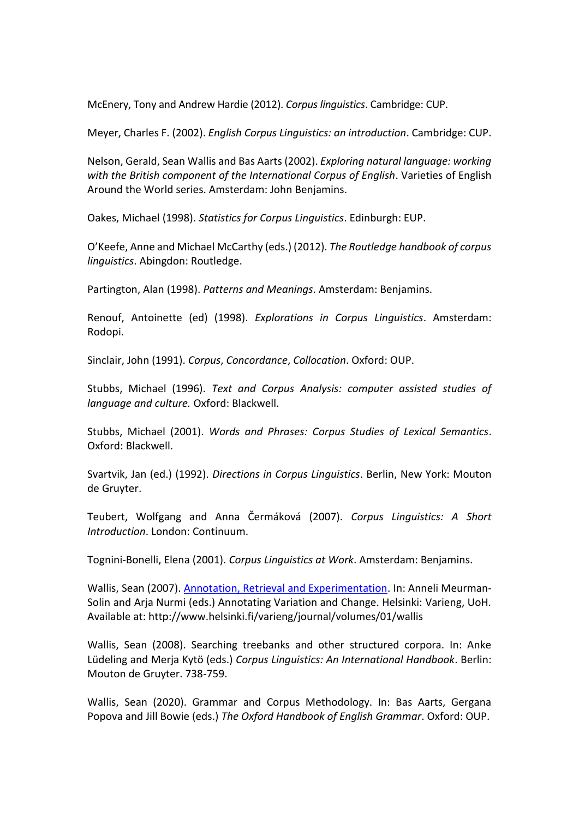McEnery, Tony and Andrew Hardie (2012). *Corpus linguistics*. Cambridge: CUP.

Meyer, Charles F. (2002). *English Corpus Linguistics: an introduction*. Cambridge: CUP.

Nelson, Gerald, Sean Wallis and Bas Aarts (2002). *Exploring natural language: working with the British component of the International Corpus of English*. Varieties of English Around the World series. Amsterdam: John Benjamins.

Oakes, Michael (1998). *Statistics for Corpus Linguistics*. Edinburgh: EUP.

O'Keefe, Anne and Michael McCarthy (eds.) (2012). *The Routledge handbook of corpus linguistics*. Abingdon: Routledge.

Partington, Alan (1998). *Patterns and Meanings*. Amsterdam: Benjamins.

Renouf, Antoinette (ed) (1998). *Explorations in Corpus Linguistics*. Amsterdam: Rodopi.

Sinclair, John (1991). *Corpus*, *Concordance*, *Collocation*. Oxford: OUP.

Stubbs, Michael (1996). *Text and Corpus Analysis: computer assisted studies of language and culture.* Oxford: Blackwell.

Stubbs, Michael (2001). *Words and Phrases: Corpus Studies of Lexical Semantics*. Oxford: Blackwell.

Svartvik, Jan (ed.) (1992). *Directions in Corpus Linguistics*. Berlin, New York: Mouton de Gruyter.

Teubert, Wolfgang and Anna Čermáková (2007). *Corpus Linguistics: A Short Introduction*. London: Continuum.

Tognini-Bonelli, Elena (2001). *Corpus Linguistics at Work*. Amsterdam: Benjamins.

Wallis, Sean (2007). [Annotation, Retrieval and Experimentation.](http://www.helsinki.fi/varieng/journal/volumes/01/wallis/) In: Anneli Meurman-Solin and Arja Nurmi (eds.) Annotating Variation and Change. Helsinki: Varieng, UoH. Available at: http://www.helsinki.fi/varieng/journal/volumes/01/wallis

Wallis, Sean (2008). Searching treebanks and other structured corpora. In: Anke Lüdeling and Merja Kytö (eds.) *Corpus Linguistics: An International Handbook*. Berlin: Mouton de Gruyter. 738-759.

Wallis, Sean (2020). Grammar and Corpus Methodology. In: Bas Aarts, Gergana Popova and Jill Bowie (eds.) *The Oxford Handbook of English Grammar*. Oxford: OUP.